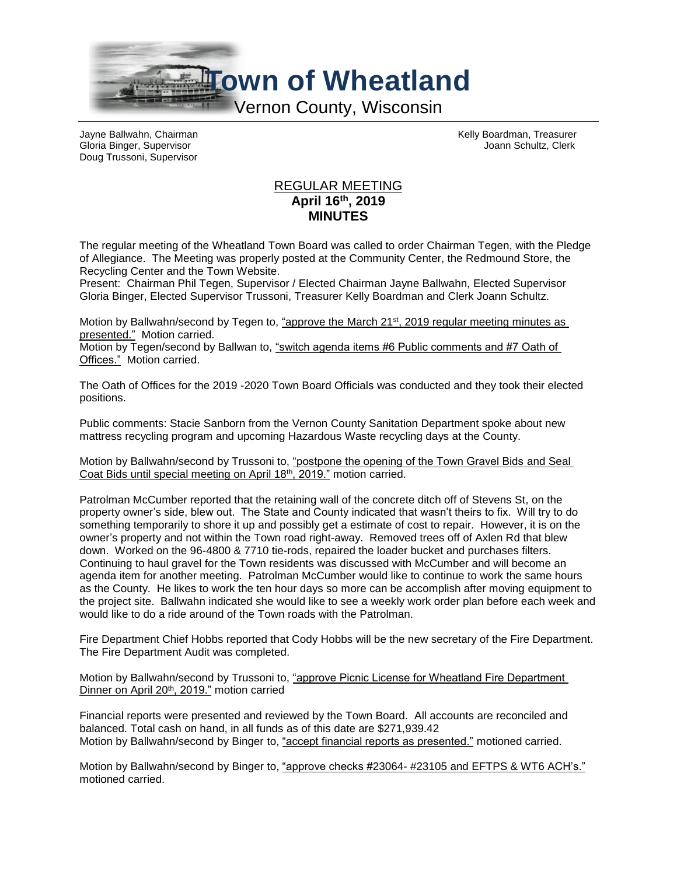

Doug Trussoni, Supervisor

Jayne Ballwahn, Chairman Kelly Boardman, Treasurer Gloria Binger, Supervisor Joann Schultz, Clerk

## REGULAR MEETING **April 16th, 2019 MINUTES**

The regular meeting of the Wheatland Town Board was called to order Chairman Tegen, with the Pledge of Allegiance. The Meeting was properly posted at the Community Center, the Redmound Store, the Recycling Center and the Town Website.

Present: Chairman Phil Tegen, Supervisor / Elected Chairman Jayne Ballwahn, Elected Supervisor Gloria Binger, Elected Supervisor Trussoni, Treasurer Kelly Boardman and Clerk Joann Schultz.

Motion by Ballwahn/second by Tegen to, "approve the March 21<sup>st</sup>, 2019 regular meeting minutes as presented." Motion carried.

Motion by Tegen/second by Ballwan to, "switch agenda items #6 Public comments and #7 Oath of Offices." Motion carried.

The Oath of Offices for the 2019 -2020 Town Board Officials was conducted and they took their elected positions.

Public comments: Stacie Sanborn from the Vernon County Sanitation Department spoke about new mattress recycling program and upcoming Hazardous Waste recycling days at the County.

Motion by Ballwahn/second by Trussoni to, "postpone the opening of the Town Gravel Bids and Seal Coat Bids until special meeting on April 18th, 2019." motion carried.

Patrolman McCumber reported that the retaining wall of the concrete ditch off of Stevens St, on the property owner's side, blew out. The State and County indicated that wasn't theirs to fix. Will try to do something temporarily to shore it up and possibly get a estimate of cost to repair. However, it is on the owner's property and not within the Town road right-away. Removed trees off of Axlen Rd that blew down. Worked on the 96-4800 & 7710 tie-rods, repaired the loader bucket and purchases filters. Continuing to haul gravel for the Town residents was discussed with McCumber and will become an agenda item for another meeting. Patrolman McCumber would like to continue to work the same hours as the County. He likes to work the ten hour days so more can be accomplish after moving equipment to the project site. Ballwahn indicated she would like to see a weekly work order plan before each week and would like to do a ride around of the Town roads with the Patrolman.

Fire Department Chief Hobbs reported that Cody Hobbs will be the new secretary of the Fire Department. The Fire Department Audit was completed.

Motion by Ballwahn/second by Trussoni to, "approve Picnic License for Wheatland Fire Department Dinner on April 20th, 2019." motion carried

Financial reports were presented and reviewed by the Town Board. All accounts are reconciled and balanced. Total cash on hand, in all funds as of this date are \$271,939.42 Motion by Ballwahn/second by Binger to, "accept financial reports as presented." motioned carried.

Motion by Ballwahn/second by Binger to, "approve checks #23064- #23105 and EFTPS & WT6 ACH's." motioned carried.